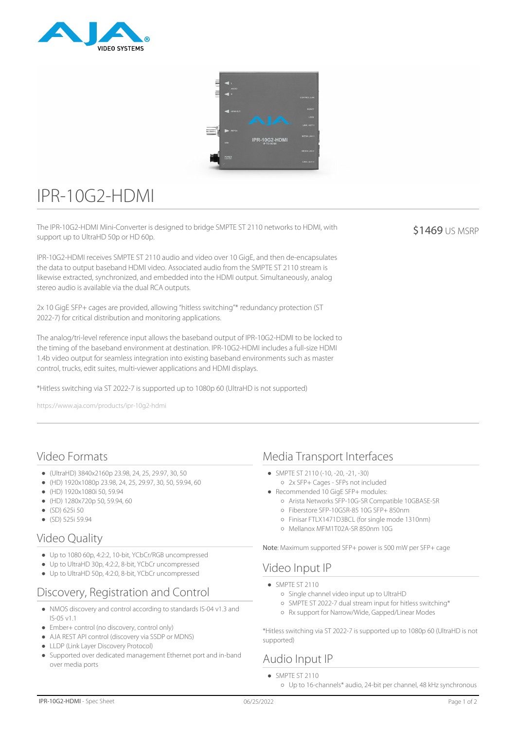



# IPR-10G2-HDMI

The IPR-10G2-HDMI Mini-Converter is designed to bridge SMPTE ST 2110 networks to HDMI, with support up to UltraHD 50p or HD 60p.

IPR-10G2-HDMI receives SMPTE ST 2110 audio and video over 10 GigE, and then de-encapsulates the data to output baseband HDMI video. Associated audio from the SMPTE ST 2110 stream is likewise extracted, synchronized, and embedded into the HDMI output. Simultaneously, analog stereo audio is available via the dual RCA outputs.

2x 10 GigE SFP+ cages are provided, allowing "hitless switching"\* redundancy protection (ST 2022-7) for critical distribution and monitoring applications.

The analog/tri-level reference input allows the baseband output of IPR-10G2-HDMI to be locked to the timing of the baseband environment at destination. IPR-10G2-HDMI includes a full-size HDMI 1.4b video output for seamless integration into existing baseband environments such as master control, trucks, edit suites, multi-viewer applications and HDMI displays.

\*Hitless switching via ST 2022-7 is supported up to 1080p 60 (UltraHD is not supported)

https://www.aja.com/products/ipr-10g2-hdmi

# Video Formats

- (UltraHD) 3840x2160p 23.98, 24, 25, 29.97, 30, 50
- $(HD)$  1920x1080p 23.98, 24, 25, 29.97, 30, 50, 59.94, 60
- (HD) 1920x1080i 50, 59.94
- (HD) 1280x720p 50, 59.94, 60
- $(SD)$  625i 50
- $(SD)$  525i 59.94

## Video Quality

- Up to 1080 60p, 4:2:2, 10-bit, YCbCr/RGB uncompressed
- Up to UltraHD 30p, 4:2:2, 8-bit, YCbCr uncompressed
- Up to UltraHD 50p, 4:2:0, 8-bit, YCbCr uncompressed

# Discovery, Registration and Control

- NMOS discovery and control according to standards IS-04 v1.3 and IS-05 v1.1
- Ember+ control (no discovery, control only)
- AJA REST API control (discovery via SSDP or MDNS)
- LLDP (Link Layer Discovery Protocol)
- Supported over dedicated management Ethernet port and in-band over media ports

## Media Transport Interfaces

- SMPTE ST 2110 (-10, -20, -21, -30)
- 2x SFP+ Cages SFPs not included Recommended 10 GigE SFP+ modules:
	- Arista Networks SFP-10G-SR Compatible 10GBASE-SR
	- Fiberstore SFP-10GSR-85 10G SFP+ 850nm
	- Finisar FTLX1471D3BCL (for single mode 1310nm)
	- Mellanox MFM1T02A-SR 850nm 10G

Note: Maximum supported SFP+ power is 500 mW per SFP+ cage

## Video Input IP

- $\bullet$  SMPTE ST 2110
	- Single channel video input up to UltraHD
	- o SMPTE ST 2022-7 dual stream input for hitless switching\*
	- Rx support for Narrow/Wide, Gapped/Linear Modes

\*Hitless switching via ST 2022-7 is supported up to 1080p 60 (UltraHD is not supported)

# Audio Input IP

- SMPTE ST 2110
	- Up to 16-channels\* audio, 24-bit per channel, 48 kHz synchronous

\$1469 US MSRP